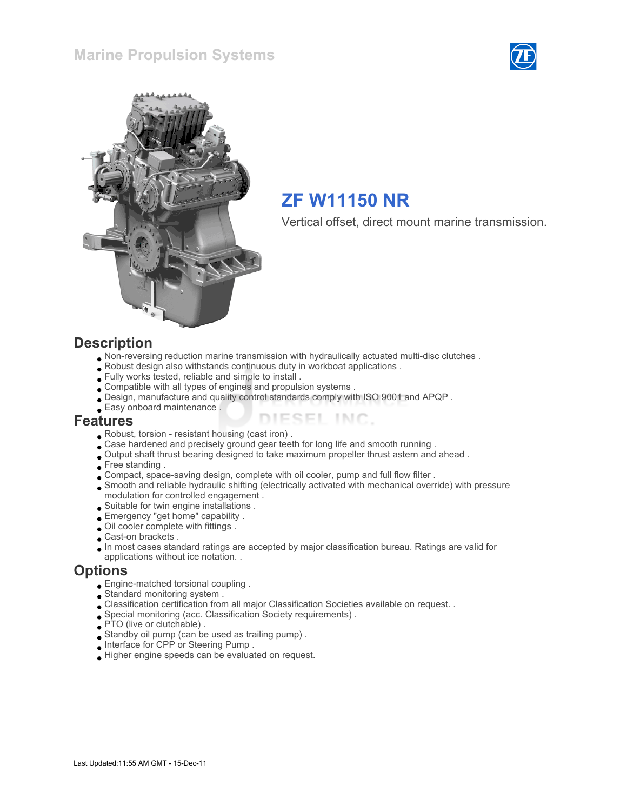



# ZF W11150 NR

Vertical offset, direct mount marine transmission.

#### **Description**

- Non-reversing reduction marine transmission with hydraulically actuated multi-disc clutches .
- Robust design also withstands continuous duty in workboat applications .
- Fully works tested, reliable and simple to install .
- Compatible with all types of engines and propulsion systems .
- Design, manufacture and quality control standards comply with ISO 9001 and APQP .
- Easy onboard maintenance .

#### Features

- Robust, torsion resistant housing (cast iron) .
- Case hardened and precisely ground gear teeth for long life and smooth running .
- Output shaft thrust bearing designed to take maximum propeller thrust astern and ahead .
- Free standing .
- Compact, space-saving design, complete with oil cooler, pump and full flow filter .
- Smooth and reliable hydraulic shifting (electrically activated with mechanical override) with pressure modulation for controlled engagement .

ESEL INC.

- Suitable for twin engine installations .
- Emergency "get home" capability .
- Oil cooler complete with fittings .
- Cast-on brackets .
- In most cases standard ratings are accepted by major classification bureau. Ratings are valid for applications without ice notation. .

#### **Options**

- Engine-matched torsional coupling .
- Standard monitoring system .
- Classification certification from all major Classification Societies available on request. .
- Special monitoring (acc. Classification Society requirements) .
- **PTO** (live or clutchable).
- Standby oil pump (can be used as trailing pump) .
- Interface for CPP or Steering Pump .
- Higher engine speeds can be evaluated on request.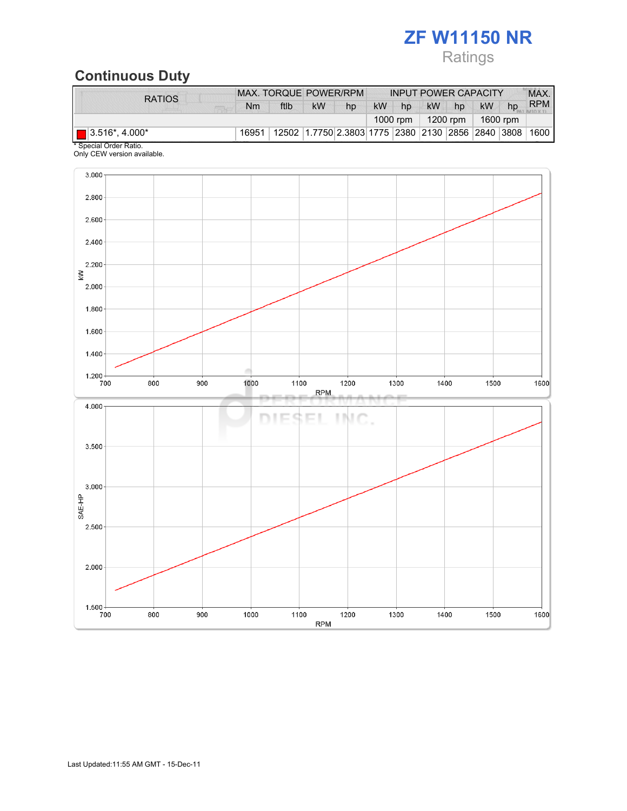# ZF W11150 NR

## Ratings

# Continuous Duty

| <b>RATIOS</b>                 |    | MAX. TORQUE POWER/RPM                                                            |    |    |           |    | <b>INPUT POWER CAPACITY</b> |    |           |    | MAX.       |
|-------------------------------|----|----------------------------------------------------------------------------------|----|----|-----------|----|-----------------------------|----|-----------|----|------------|
|                               | Nm | ftlb                                                                             | kW | hp | <b>kW</b> | hp | kW                          | hp | <b>kW</b> | hp | <b>RPM</b> |
|                               |    |                                                                                  |    |    |           |    | 1000 rpm   1200 rpm         |    | 1600 rpm  |    |            |
| $\blacksquare$ 3.516*, 4.000* |    | 16951   12502   1.7750   2.3803   1775   2380   2130   2856   2840   3808   1600 |    |    |           |    |                             |    |           |    |            |

\* Special Order Ratio. Only CEW version available.

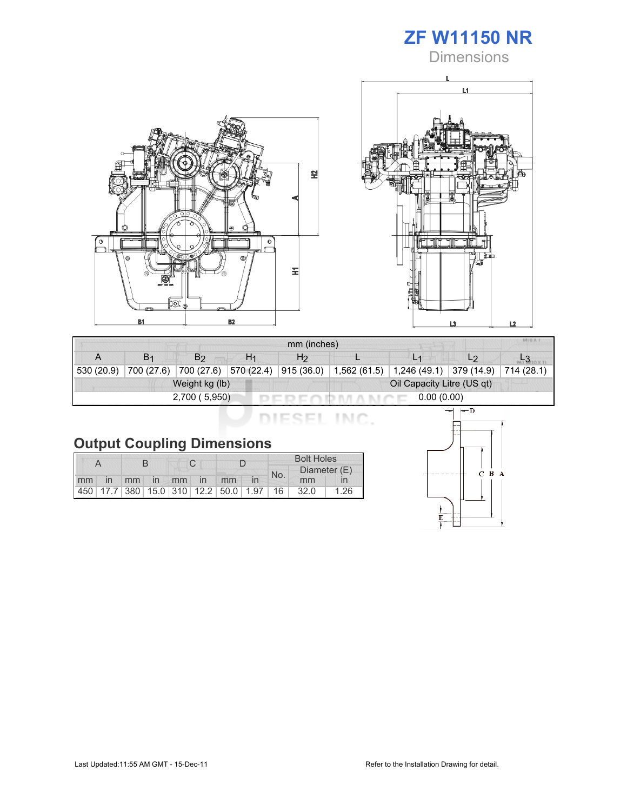

**Dimensions** 





| <b>MILEX</b><br>mm (inches) |                |                       |                |                |                            |                |                         |  |  |  |
|-----------------------------|----------------|-----------------------|----------------|----------------|----------------------------|----------------|-------------------------|--|--|--|
|                             | B <sub>1</sub> | B <sub>2</sub>        | H <sub>1</sub> | H <sub>2</sub> |                            | L <sub>1</sub> | L <sub>2</sub>          |  |  |  |
| 530 (20.9)                  | 700 (27.6)     | 700 (27.6) 570 (22.4) |                | 915 (36.0)     | 1,562(61.5)                | 1,246 (49.1)   | 379 (14.9)   714 (28.1) |  |  |  |
| Weight kg (lb)              |                |                       |                |                | Oil Capacity Litre (US qt) |                |                         |  |  |  |
|                             |                | 2,700 (5,950)         |                | 0.00(0.00)     |                            |                |                         |  |  |  |

DIESEL INC.

|    |                |  |  |  |             | <b>Bolt Holes</b>                       |  |              |      |      |
|----|----------------|--|--|--|-------------|-----------------------------------------|--|--------------|------|------|
|    |                |  |  |  |             |                                         |  | Diameter (E) |      |      |
| mm | $\overline{m}$ |  |  |  | mm in mm in | mm                                      |  | No.          | mm   |      |
|    |                |  |  |  |             | 450 17.7 380 15.0 310 12.2 50.0 1.97 16 |  |              | 32.0 | 1.26 |